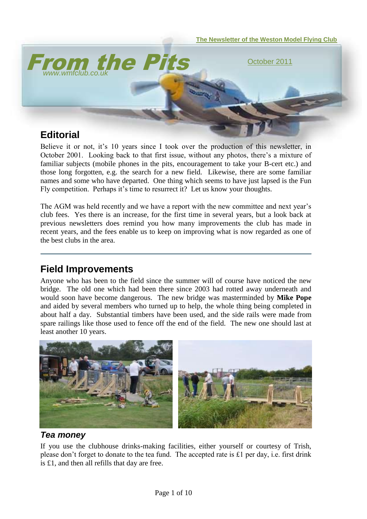

Believe it or not, it's 10 years since I took over the production of this newsletter, in October 2001. Looking back to that first issue, without any photos, there"s a mixture of familiar subjects (mobile phones in the pits, encouragement to take your B-cert etc.) and those long forgotten, e.g. the search for a new field. Likewise, there are some familiar names and some who have departed. One thing which seems to have just lapsed is the Fun Fly competition. Perhaps it's time to resurrect it? Let us know your thoughts.

The AGM was held recently and we have a report with the new committee and next year's club fees. Yes there is an increase, for the first time in several years, but a look back at previous newsletters does remind you how many improvements the club has made in recent years, and the fees enable us to keep on improving what is now regarded as one of the best clubs in the area.

## **Field Improvements**

Anyone who has been to the field since the summer will of course have noticed the new bridge. The old one which had been there since 2003 had rotted away underneath and would soon have become dangerous. The new bridge was masterminded by **Mike Pope** and aided by several members who turned up to help, the whole thing being completed in about half a day. Substantial timbers have been used, and the side rails were made from spare railings like those used to fence off the end of the field. The new one should last at least another 10 years.



### *Tea money*

If you use the clubhouse drinks-making facilities, either yourself or courtesy of Trish, please don"t forget to donate to the tea fund. The accepted rate is £1 per day, i.e. first drink is £1, and then all refills that day are free.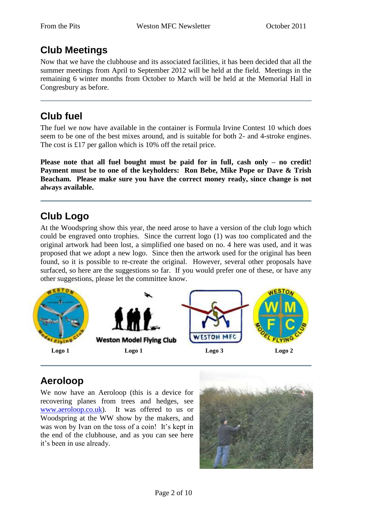# **Club Meetings**

Now that we have the clubhouse and its associated facilities, it has been decided that all the summer meetings from April to September 2012 will be held at the field. Meetings in the remaining 6 winter months from October to March will be held at the Memorial Hall in Congresbury as before.

# **Club fuel**

The fuel we now have available in the container is Formula Irvine Contest 10 which does seem to be one of the best mixes around, and is suitable for both 2- and 4-stroke engines. The cost is £17 per gallon which is 10% off the retail price.

**Please note that all fuel bought must be paid for in full, cash only – no credit! Payment must be to one of the keyholders: Ron Bebe, Mike Pope or Dave & Trish Beacham. Please make sure you have the correct money ready, since change is not always available.**

# **Club Logo**

At the Woodspring show this year, the need arose to have a version of the club logo which could be engraved onto trophies. Since the current logo (1) was too complicated and the original artwork had been lost, a simplified one based on no. 4 here was used, and it was proposed that we adopt a new logo. Since then the artwork used for the original has been found, so it is possible to re-create the original. However, several other proposals have surfaced, so here are the suggestions so far. If you would prefer one of these, or have any other suggestions, please let the committee know.



# **Aeroloop**

We now have an Aeroloop (this is a device for recovering planes from trees and hedges, see [www.aeroloop.co.uk\)](http://www.aeroloop.co.uk/). It was offered to us or Woodspring at the WW show by the makers, and was won by Ivan on the toss of a coin! It's kept in the end of the clubhouse, and as you can see here it"s been in use already.

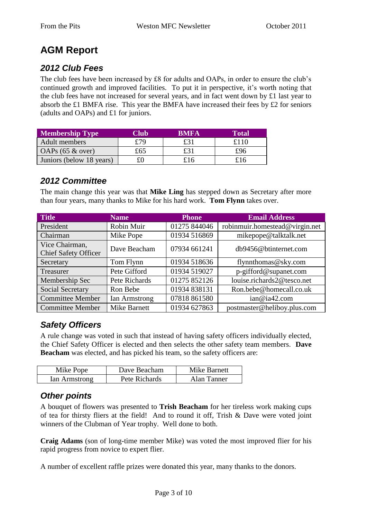# **AGM Report**

## *2012 Club Fees*

The club fees have been increased by £8 for adults and OAPs, in order to ensure the club"s continued growth and improved facilities. To put it in perspective, it's worth noting that the club fees have not increased for several years, and in fact went down by £1 last year to absorb the £1 BMFA rise. This year the BMFA have increased their fees by £2 for seniors (adults and OAPs) and £1 for juniors.

| <b>Membership Type</b>   | Club | <b>RMFA</b> | Total |
|--------------------------|------|-------------|-------|
| Adult members            | £79  | £31         | £110  |
| OAPs $(65 \& over)$      | £65  | £31         | £96   |
| Juniors (below 18 years) |      | £16         | £16   |

### *2012 Committee*

The main change this year was that **Mike Ling** has stepped down as Secretary after more than four years, many thanks to Mike for his hard work. **Tom Flynn** takes over.

| <b>Title</b>                                  | <b>Name</b>         | <b>Phone</b> | <b>Email Address</b>           |
|-----------------------------------------------|---------------------|--------------|--------------------------------|
| President                                     | Robin Muir          | 01275 844046 | robinmuir.homestead@virgin.net |
| Chairman                                      | Mike Pope           | 01934 516869 | mikepope@talktalk.net          |
| Vice Chairman,<br><b>Chief Safety Officer</b> | Dave Beacham        | 07934 661241 | db9456@btinternet.com          |
| Secretary                                     | Tom Flynn           | 01934 518636 | flynnthomas@sky.com            |
| Treasurer                                     | Pete Gifford        | 01934 519027 | p-gifford@supanet.com          |
| Membership Sec                                | Pete Richards       | 01275 852126 | louise.richards2@tesco.net     |
| Social Secretary                              | Ron Bebe            | 01934 838131 | Ron.bebe@homecall.co.uk        |
| <b>Committee Member</b>                       | Ian Armstrong       | 07818 861580 | ian@ia42.com                   |
| <b>Committee Member</b>                       | <b>Mike Barnett</b> | 01934 627863 | postmaster@heliboy.plus.com    |

### *Safety Officers*

A rule change was voted in such that instead of having safety officers individually elected, the Chief Safety Officer is elected and then selects the other safety team members. **Dave Beacham** was elected, and has picked his team, so the safety officers are:

| Mike Pope     | Dave Beacham  | Mike Barnett |
|---------------|---------------|--------------|
| Ian Armstrong | Pete Richards | Alan Tanner  |

### *Other points*

A bouquet of flowers was presented to **Trish Beacham** for her tireless work making cups of tea for thirsty fliers at the field! And to round it off, Trish & Dave were voted joint winners of the Clubman of Year trophy. Well done to both.

**Craig Adams** (son of long-time member Mike) was voted the most improved flier for his rapid progress from novice to expert flier.

A number of excellent raffle prizes were donated this year, many thanks to the donors.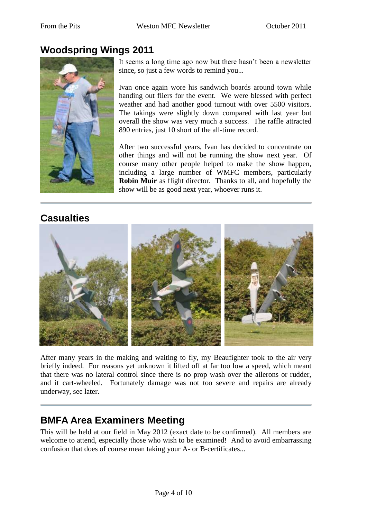## **Woodspring Wings 2011**



It seems a long time ago now but there hasn"t been a newsletter since, so just a few words to remind you...

Ivan once again wore his sandwich boards around town while handing out fliers for the event. We were blessed with perfect weather and had another good turnout with over 5500 visitors. The takings were slightly down compared with last year but overall the show was very much a success. The raffle attracted 890 entries, just 10 short of the all-time record.

After two successful years, Ivan has decided to concentrate on other things and will not be running the show next year. Of course many other people helped to make the show happen, including a large number of WMFC members, particularly **Robin Muir** as flight director. Thanks to all, and hopefully the show will be as good next year, whoever runs it.

### **Casualties**



After many years in the making and waiting to fly, my Beaufighter took to the air very briefly indeed. For reasons yet unknown it lifted off at far too low a speed, which meant that there was no lateral control since there is no prop wash over the ailerons or rudder, and it cart-wheeled. Fortunately damage was not too severe and repairs are already underway, see later.

## **BMFA Area Examiners Meeting**

This will be held at our field in May 2012 (exact date to be confirmed). All members are welcome to attend, especially those who wish to be examined! And to avoid embarrassing confusion that does of course mean taking your A- or B-certificates...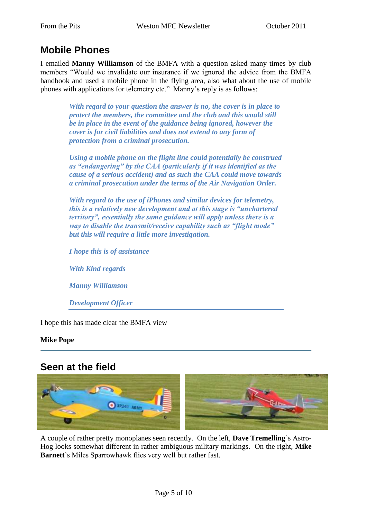## **Mobile Phones**

I emailed **Manny Williamson** of the BMFA with a question asked many times by club members "Would we invalidate our insurance if we ignored the advice from the BMFA handbook and used a mobile phone in the flying area, also what about the use of mobile phones with applications for telemetry etc." Manny's reply is as follows:

> *With regard to your question the answer is no, the cover is in place to protect the members, the committee and the club and this would still be in place in the event of the guidance being ignored, however the cover is for civil liabilities and does not extend to any form of protection from a criminal prosecution.*

*Using a mobile phone on the flight line could potentially be construed as "endangering" by the CAA (particularly if it was identified as the cause of a serious accident) and as such the CAA could move towards a criminal prosecution under the terms of the Air Navigation Order.*

*With regard to the use of iPhones and similar devices for telemetry, this is a relatively new development and at this stage is "unchartered territory", essentially the same guidance will apply unless there is a way to disable the transmit/receive capability such as "flight mode" but this will require a little more investigation.*

*I hope this is of assistance*

*With Kind regards*

*Manny Williamson*

*Development Officer*

I hope this has made clear the BMFA view

#### **Mike Pope**

### **Seen at the field**



A couple of rather pretty monoplanes seen recently. On the left, **Dave Tremelling**"s Astro-Hog looks somewhat different in rather ambiguous military markings. On the right, **Mike Barnett**'s Miles Sparrowhawk flies very well but rather fast.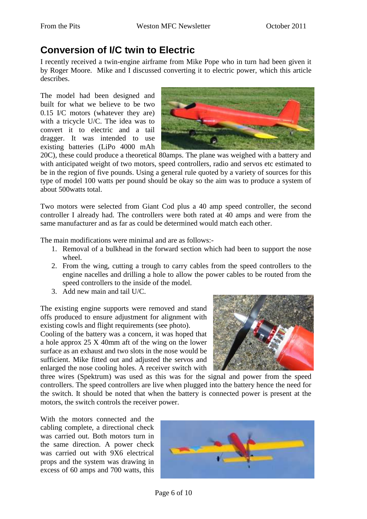## **Conversion of I/C twin to Electric**

I recently received a twin-engine airframe from Mike Pope who in turn had been given it by Roger Moore. Mike and I discussed converting it to electric power, which this article describes.

The model had been designed and built for what we believe to be two 0.15 I/C motors (whatever they are) with a tricycle U/C. The idea was to convert it to electric and a tail dragger. It was intended to use existing batteries (LiPo 4000 mAh



20C), these could produce a theoretical 80amps. The plane was weighed with a battery and with anticipated weight of two motors, speed controllers, radio and servos etc estimated to be in the region of five pounds. Using a general rule quoted by a variety of sources for this type of model 100 watts per pound should be okay so the aim was to produce a system of about 500watts total.

Two motors were selected from Giant Cod plus a 40 amp speed controller, the second controller I already had. The controllers were both rated at 40 amps and were from the same manufacturer and as far as could be determined would match each other.

The main modifications were minimal and are as follows:-

- 1. Removal of a bulkhead in the forward section which had been to support the nose wheel.
- 2. From the wing, cutting a trough to carry cables from the speed controllers to the engine nacelles and drilling a hole to allow the power cables to be routed from the speed controllers to the inside of the model.
- 3. Add new main and tail U/C.

The existing engine supports were removed and stand offs produced to ensure adjustment for alignment with existing cowls and flight requirements (see photo).

Cooling of the battery was a concern, it was hoped that a hole approx 25 X 40mm aft of the wing on the lower surface as an exhaust and two slots in the nose would be sufficient. Mike fitted out and adjusted the servos and enlarged the nose cooling holes. A receiver switch with



three wires (Spektrum) was used as this was for the signal and power from the speed controllers. The speed controllers are live when plugged into the battery hence the need for the switch. It should be noted that when the battery is connected power is present at the motors, the switch controls the receiver power.

With the motors connected and the cabling complete, a directional check was carried out. Both motors turn in the same direction. A power check was carried out with 9X6 electrical props and the system was drawing in excess of 60 amps and 700 watts, this

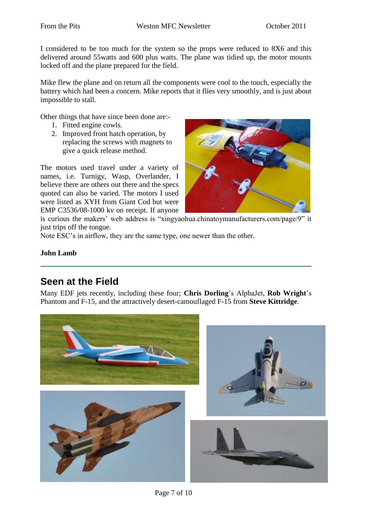I considered to be too much for the system so the props were reduced to 8X6 and this delivered around 55watts and 600 plus watts. The plane was tidied up, the motor mounts locked off and the plane prepared for the field.

Mike flew the plane and on return all the components were cool to the touch, especially the battery which had been a concern. Mike reports that it flies very smoothly, and is just about impossible to stall.

Other things that have since been done are:-

- 1. Fitted engine cowls.
- 2. Improved front hatch operation, by replacing the screws with magnets to give a quick release method.

The motors used travel under a variety of names, i.e. Turnigy, Wasp, Overlander, I believe there are others out there and the specs quoted can also be varied. The motors I used were listed as XYH from Giant Cod but were EMP C3536/08-1000 kv on receipt. If anyone



is curious the makers' web address is "xingyaohua.chinatoymanufacturers.com/page/9" it just trips off the tongue.

Note ESC's in airflow, they are the same type, one newer than the other.

#### **John Lamb**

## **Seen at the Field**

Many EDF jets recently, including these four; **Chris Dorling**"s AlphaJet, **Rob Wright**"s Phantom and F-15, and the attractively desert-camouflaged F-15 from **Steve Kittridge**.

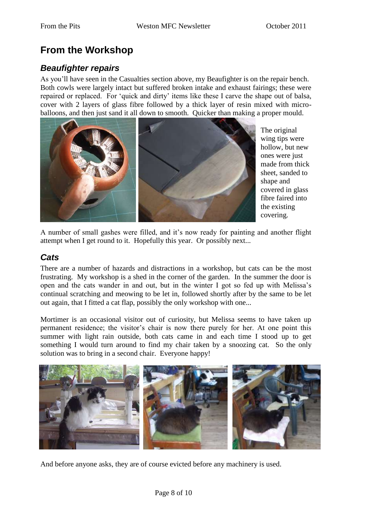# **From the Workshop**

### *Beaufighter repairs*

As you"ll have seen in the Casualties section above, my Beaufighter is on the repair bench. Both cowls were largely intact but suffered broken intake and exhaust fairings; these were repaired or replaced. For 'quick and dirty' items like these I carve the shape out of balsa, cover with 2 layers of glass fibre followed by a thick layer of resin mixed with microballoons, and then just sand it all down to smooth. Quicker than making a proper mould.



The original wing tips were hollow, but new ones were just made from thick sheet, sanded to shape and covered in glass fibre faired into the existing covering.

A number of small gashes were filled, and it's now ready for painting and another flight attempt when I get round to it. Hopefully this year. Or possibly next...

### *Cats*

There are a number of hazards and distractions in a workshop, but cats can be the most frustrating. My workshop is a shed in the corner of the garden. In the summer the door is open and the cats wander in and out, but in the winter I got so fed up with Melissa"s continual scratching and meowing to be let in, followed shortly after by the same to be let out again, that I fitted a cat flap, possibly the only workshop with one...

Mortimer is an occasional visitor out of curiosity, but Melissa seems to have taken up permanent residence; the visitor's chair is now there purely for her. At one point this summer with light rain outside, both cats came in and each time I stood up to get something I would turn around to find my chair taken by a snoozing cat. So the only solution was to bring in a second chair. Everyone happy!



And before anyone asks, they are of course evicted before any machinery is used.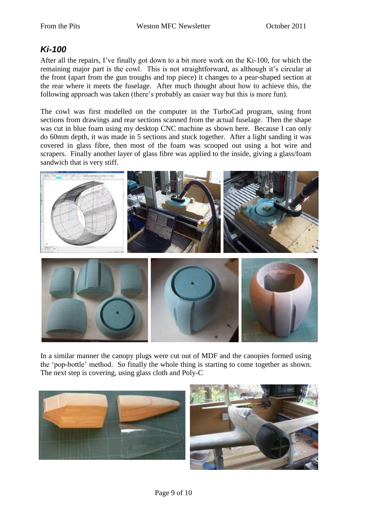### *Ki-100*

After all the repairs, I"ve finally got down to a bit more work on the Ki-100, for which the remaining major part is the cowl. This is not straightforward, as although it's circular at the front (apart from the gun troughs and top piece) it changes to a pear-shaped section at the rear where it meets the fuselage. After much thought about how to achieve this, the following approach was taken (there"s probably an easier way but this is more fun).

The cowl was first modelled on the computer in the TurboCad program, using front sections from drawings and rear sections scanned from the actual fuselage. Then the shape was cut in blue foam using my desktop CNC machine as shown here. Because I can only do 60mm depth, it was made in 5 sections and stuck together. After a light sanding it was covered in glass fibre, then most of the foam was scooped out using a hot wire and scrapers. Finally another layer of glass fibre was applied to the inside, giving a glass/foam sandwich that is very stiff.



In a similar manner the canopy plugs were cut out of MDF and the canopies formed using the "pop-bottle" method. So finally the whole thing is starting to come together as shown. The next step is covering, using glass cloth and Poly-C